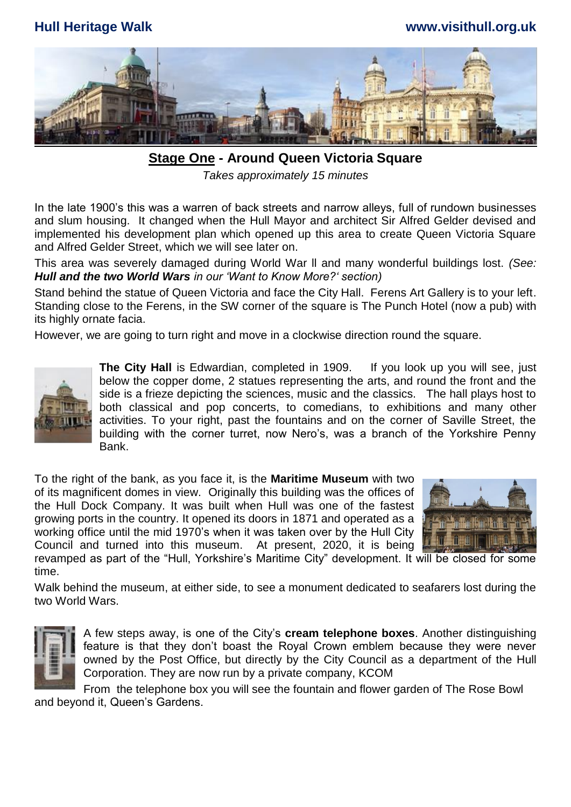## **Hull Heritage Walk www.visithull.org.uk**



**Stage One - Around Queen Victoria Square**  *Takes approximately 15 minutes*

In the late 1900's this was a warren of back streets and narrow alleys, full of rundown businesses and slum housing. It changed when the Hull Mayor and architect Sir Alfred Gelder devised and implemented his development plan which opened up this area to create Queen Victoria Square and Alfred Gelder Street, which we will see later on.

This area was severely damaged during World War ll and many wonderful buildings lost. *(See: Hull and the two World Wars in our 'Want to Know More?' section)*

Stand behind the statue of Queen Victoria and face the City Hall. Ferens Art Gallery is to your left. Standing close to the Ferens, in the SW corner of the square is The Punch Hotel (now a pub) with its highly ornate facia.

However, we are going to turn right and move in a clockwise direction round the square.



**The City Hall** is Edwardian, completed in 1909. If you look up you will see, just below the copper dome, 2 statues representing the arts, and round the front and the side is a frieze depicting the sciences, music and the classics. The hall plays host to both classical and pop concerts, to comedians, to exhibitions and many other activities. To your right, past the fountains and on the corner of Saville Street, the building with the corner turret, now Nero's, was a branch of the Yorkshire Penny Bank.

To the right of the bank, as you face it, is the **Maritime Museum** with two of its magnificent domes in view.Originally this building was the offices of the Hull Dock Company. It was built when Hull was one of the fastest growing ports in the country. It opened its doors in 1871 and operated as a working office until the mid 1970's when it was taken over by the Hull City Council and turned into this museum. At present, 2020, it is being revamped as part of the "Hull, Yorkshire's Maritime City" development. It will be closed for some



time. Walk behind the museum, at either side, to see a monument dedicated to seafarers lost during the two World Wars.



A few steps away, is one of the City's **cream telephone boxes**. Another distinguishing feature is that they don't boast the Royal Crown emblem because they were never owned by the Post Office, but directly by the City Council as a department of the Hull Corporation. They are now run by a private company, KCOM

From the telephone box you will see the fountain and flower garden of The Rose Bowl and beyond it, Queen's Gardens.